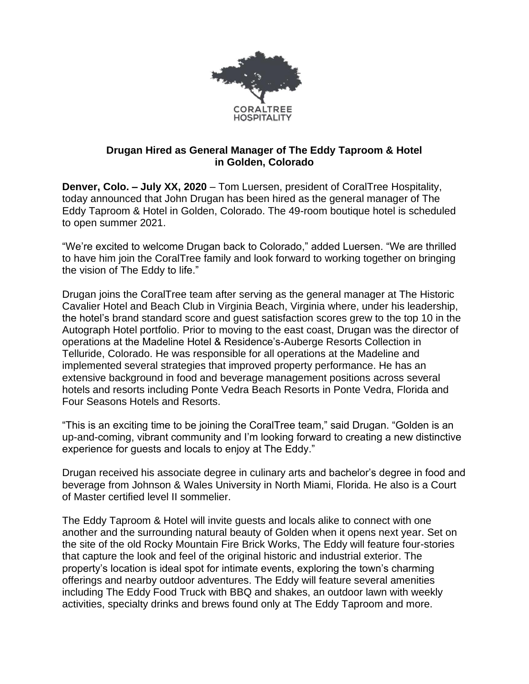

## **Drugan Hired as General Manager of The Eddy Taproom & Hotel in Golden, Colorado**

**Denver, Colo. – July XX, 2020** – Tom Luersen, president of CoralTree Hospitality, today announced that John Drugan has been hired as the general manager of The Eddy Taproom & Hotel in Golden, Colorado. The 49-room boutique hotel is scheduled to open summer 2021.

"We're excited to welcome Drugan back to Colorado," added Luersen. "We are thrilled to have him join the CoralTree family and look forward to working together on bringing the vision of The Eddy to life."

Drugan joins the CoralTree team after serving as the general manager at The Historic Cavalier Hotel and Beach Club in Virginia Beach, Virginia where, under his leadership, the hotel's brand standard score and guest satisfaction scores grew to the top 10 in the Autograph Hotel portfolio. Prior to moving to the east coast, Drugan was the director of operations at the Madeline Hotel & Residence's-Auberge Resorts Collection in Telluride, Colorado. He was responsible for all operations at the Madeline and implemented several strategies that improved property performance. He has an extensive background in food and beverage management positions across several hotels and resorts including Ponte Vedra Beach Resorts in Ponte Vedra, Florida and Four Seasons Hotels and Resorts.

"This is an exciting time to be joining the CoralTree team," said Drugan. "Golden is an up-and-coming, vibrant community and I'm looking forward to creating a new distinctive experience for guests and locals to enjoy at The Eddy."

Drugan received his associate degree in culinary arts and bachelor's degree in food and beverage from Johnson & Wales University in North Miami, Florida. He also is a Court of Master certified level II sommelier.

The Eddy Taproom & Hotel will invite guests and locals alike to connect with one another and the surrounding natural beauty of Golden when it opens next year. Set on the site of the old Rocky Mountain Fire Brick Works, The Eddy will feature four-stories that capture the look and feel of the original historic and industrial exterior. The property's location is ideal spot for intimate events, exploring the town's charming offerings and nearby outdoor adventures. The Eddy will feature several amenities including The Eddy Food Truck with BBQ and shakes, an outdoor lawn with weekly activities, specialty drinks and brews found only at The Eddy Taproom and more.